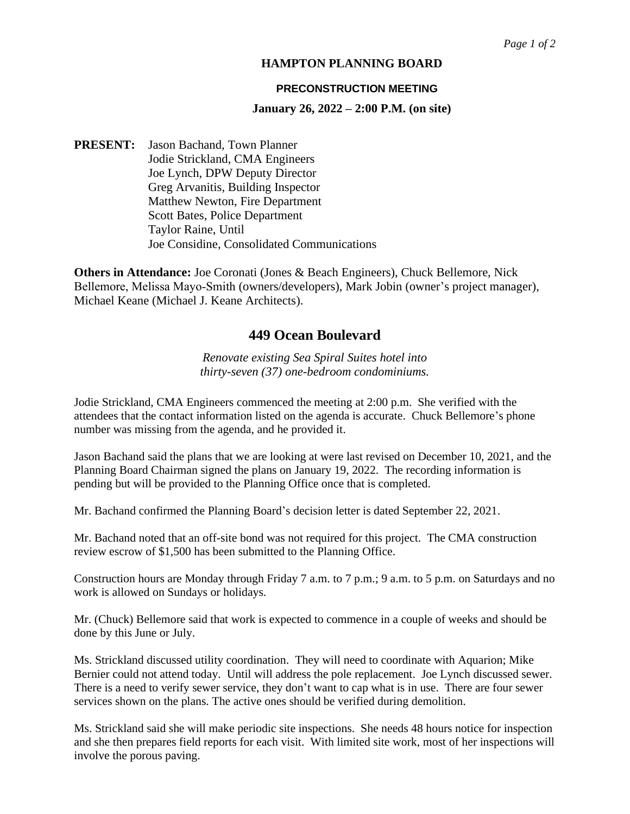## **HAMPTON PLANNING BOARD**

### **PRECONSTRUCTION MEETING**

### **January 26, 2022 – 2:00 P.M. (on site)**

**PRESENT:** Jason Bachand, Town Planner Jodie Strickland, CMA Engineers Joe Lynch, DPW Deputy Director Greg Arvanitis, Building Inspector Matthew Newton, Fire Department Scott Bates, Police Department Taylor Raine, Until Joe Considine, Consolidated Communications

**Others in Attendance:** Joe Coronati (Jones & Beach Engineers), Chuck Bellemore, Nick Bellemore, Melissa Mayo‐Smith (owners/developers), Mark Jobin (owner's project manager), Michael Keane (Michael J. Keane Architects).

# **449 Ocean Boulevard**

*Renovate existing Sea Spiral Suites hotel into thirty-seven (37) one-bedroom condominiums.* 

Jodie Strickland, CMA Engineers commenced the meeting at 2:00 p.m. She verified with the attendees that the contact information listed on the agenda is accurate. Chuck Bellemore's phone number was missing from the agenda, and he provided it.

Jason Bachand said the plans that we are looking at were last revised on December 10, 2021, and the Planning Board Chairman signed the plans on January 19, 2022. The recording information is pending but will be provided to the Planning Office once that is completed.

Mr. Bachand confirmed the Planning Board's decision letter is dated September 22, 2021.

Mr. Bachand noted that an off-site bond was not required for this project. The CMA construction review escrow of \$1,500 has been submitted to the Planning Office.

Construction hours are Monday through Friday 7 a.m. to 7 p.m.; 9 a.m. to 5 p.m. on Saturdays and no work is allowed on Sundays or holidays.

Mr. (Chuck) Bellemore said that work is expected to commence in a couple of weeks and should be done by this June or July.

Ms. Strickland discussed utility coordination. They will need to coordinate with Aquarion; Mike Bernier could not attend today. Until will address the pole replacement. Joe Lynch discussed sewer. There is a need to verify sewer service, they don't want to cap what is in use. There are four sewer services shown on the plans. The active ones should be verified during demolition.

Ms. Strickland said she will make periodic site inspections. She needs 48 hours notice for inspection and she then prepares field reports for each visit. With limited site work, most of her inspections will involve the porous paving.